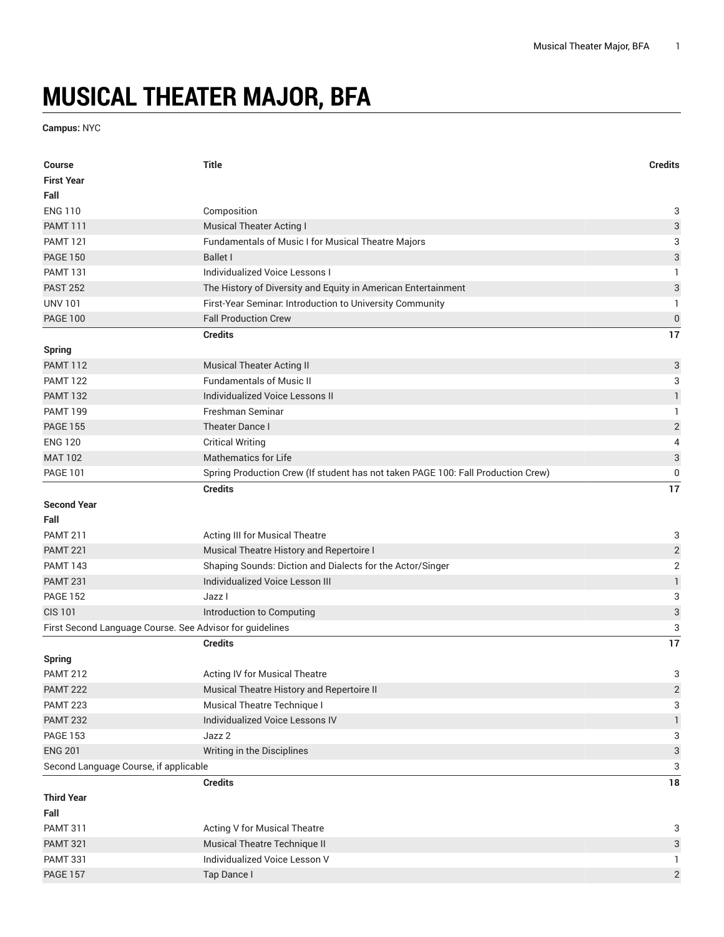## **MUSICAL THEATER MAJOR, BFA**

**Campus:** NYC

| Course                                                   | <b>Title</b>                                                                     | <b>Credits</b>            |
|----------------------------------------------------------|----------------------------------------------------------------------------------|---------------------------|
| <b>First Year</b>                                        |                                                                                  |                           |
| Fall                                                     |                                                                                  |                           |
| <b>ENG 110</b>                                           | Composition                                                                      | 3                         |
| <b>PAMT 111</b>                                          | <b>Musical Theater Acting I</b>                                                  | $\ensuremath{\mathsf{3}}$ |
| <b>PAMT 121</b>                                          | Fundamentals of Music I for Musical Theatre Majors                               | 3                         |
| <b>PAGE 150</b>                                          | <b>Ballet I</b>                                                                  | 3                         |
| <b>PAMT 131</b>                                          | Individualized Voice Lessons I                                                   | 1                         |
| <b>PAST 252</b>                                          | The History of Diversity and Equity in American Entertainment                    | $\ensuremath{\mathsf{3}}$ |
| <b>UNV 101</b>                                           | First-Year Seminar. Introduction to University Community                         | 1                         |
| <b>PAGE 100</b>                                          | <b>Fall Production Crew</b>                                                      | $\boldsymbol{0}$          |
|                                                          | <b>Credits</b>                                                                   | 17                        |
| <b>Spring</b>                                            |                                                                                  |                           |
| <b>PAMT 112</b>                                          | <b>Musical Theater Acting II</b>                                                 | $\ensuremath{\mathsf{3}}$ |
| <b>PAMT 122</b>                                          | <b>Fundamentals of Music II</b>                                                  | 3                         |
| <b>PAMT 132</b>                                          | <b>Individualized Voice Lessons II</b>                                           | $\mathbbm{1}$             |
| <b>PAMT 199</b>                                          | Freshman Seminar                                                                 | 1                         |
| <b>PAGE 155</b>                                          | Theater Dance I                                                                  | $\sqrt{2}$                |
| <b>ENG 120</b>                                           | <b>Critical Writing</b>                                                          | 4                         |
| <b>MAT 102</b>                                           | <b>Mathematics for Life</b>                                                      | $\ensuremath{\mathsf{3}}$ |
| <b>PAGE 101</b>                                          | Spring Production Crew (If student has not taken PAGE 100: Fall Production Crew) | $\pmb{0}$                 |
|                                                          | <b>Credits</b>                                                                   | 17                        |
| <b>Second Year</b>                                       |                                                                                  |                           |
| Fall                                                     |                                                                                  |                           |
| <b>PAMT 211</b>                                          | Acting III for Musical Theatre                                                   | 3                         |
| <b>PAMT 221</b>                                          | Musical Theatre History and Repertoire I                                         | $\sqrt{2}$                |
| <b>PAMT 143</b>                                          | Shaping Sounds: Diction and Dialects for the Actor/Singer                        | $\overline{2}$            |
| <b>PAMT 231</b>                                          | Individualized Voice Lesson III                                                  | $\ensuremath{\mathsf{1}}$ |
| <b>PAGE 152</b>                                          | Jazz I                                                                           | 3                         |
| <b>CIS 101</b>                                           | Introduction to Computing                                                        | $\mathfrak{S}$            |
| First Second Language Course. See Advisor for guidelines |                                                                                  | 3                         |
|                                                          | <b>Credits</b>                                                                   | 17                        |
| <b>Spring</b>                                            |                                                                                  |                           |
| <b>PAMT 212</b>                                          | Acting IV for Musical Theatre                                                    | 3                         |
| <b>PAMT 222</b>                                          | Musical Theatre History and Repertoire II                                        | $\overline{\mathbf{c}}$   |
| <b>PAMT 223</b>                                          | Musical Theatre Technique I                                                      | 3                         |
| <b>PAMT 232</b>                                          | Individualized Voice Lessons IV                                                  | $\mathbf{1}$              |
| <b>PAGE 153</b>                                          | Jazz 2                                                                           | 3                         |
| <b>ENG 201</b>                                           | Writing in the Disciplines                                                       | $\ensuremath{\mathsf{3}}$ |
| Second Language Course, if applicable                    |                                                                                  | $\sqrt{3}$                |
|                                                          | <b>Credits</b>                                                                   | $18\,$                    |
| <b>Third Year</b>                                        |                                                                                  |                           |
| Fall                                                     |                                                                                  |                           |
| <b>PAMT 311</b>                                          | <b>Acting V for Musical Theatre</b>                                              | 3                         |
| <b>PAMT 321</b>                                          | Musical Theatre Technique II                                                     | $\ensuremath{\mathsf{3}}$ |
| <b>PAMT 331</b>                                          | Individualized Voice Lesson V                                                    | 1                         |
| <b>PAGE 157</b>                                          | Tap Dance I                                                                      | $\overline{c}$            |